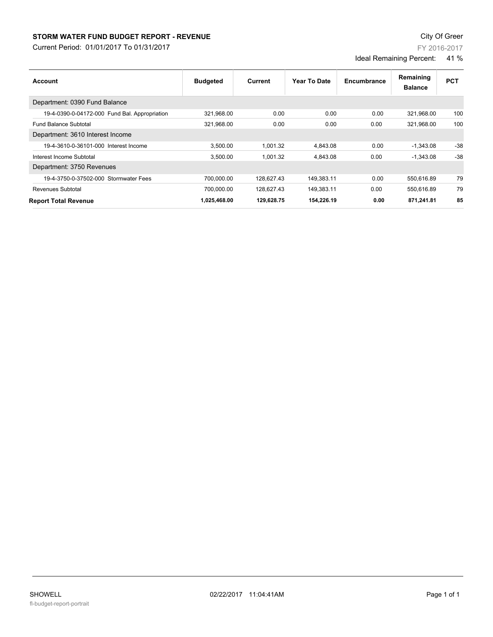## **STORM WATER FUND BUDGET REPORT - REVENUE CONSUMPTER STORM WATER FUND BUDGET REPORT - REVENUE**

Current Period: 01/01/2017 To 01/31/2017

FY 2016-2017

Ideal Remaining Percent: 41 %

| Account                                       | <b>Budgeted</b> | Current    | Year To Date | Encumbrance | Remaining<br><b>Balance</b> | <b>PCT</b> |
|-----------------------------------------------|-----------------|------------|--------------|-------------|-----------------------------|------------|
| Department: 0390 Fund Balance                 |                 |            |              |             |                             |            |
| 19-4-0390-0-04172-000 Fund Bal. Appropriation | 321,968.00      | 0.00       | 0.00         | 0.00        | 321,968.00                  | 100        |
| <b>Fund Balance Subtotal</b>                  | 321.968.00      | 0.00       | 0.00         | 0.00        | 321.968.00                  | 100        |
| Department: 3610 Interest Income              |                 |            |              |             |                             |            |
| 19-4-3610-0-36101-000 Interest Income         | 3.500.00        | 1.001.32   | 4.843.08     | 0.00        | $-1,343.08$                 | $-38$      |
| Interest Income Subtotal                      | 3.500.00        | 1.001.32   | 4.843.08     | 0.00        | $-1.343.08$                 | $-38$      |
| Department: 3750 Revenues                     |                 |            |              |             |                             |            |
| 19-4-3750-0-37502-000 Stormwater Fees         | 700.000.00      | 128,627.43 | 149,383.11   | 0.00        | 550,616.89                  | 79         |
| Revenues Subtotal                             | 700.000.00      | 128,627.43 | 149,383.11   | 0.00        | 550,616.89                  | 79         |
| <b>Report Total Revenue</b>                   | 1,025,468.00    | 129,628.75 | 154,226.19   | 0.00        | 871,241.81                  | 85         |